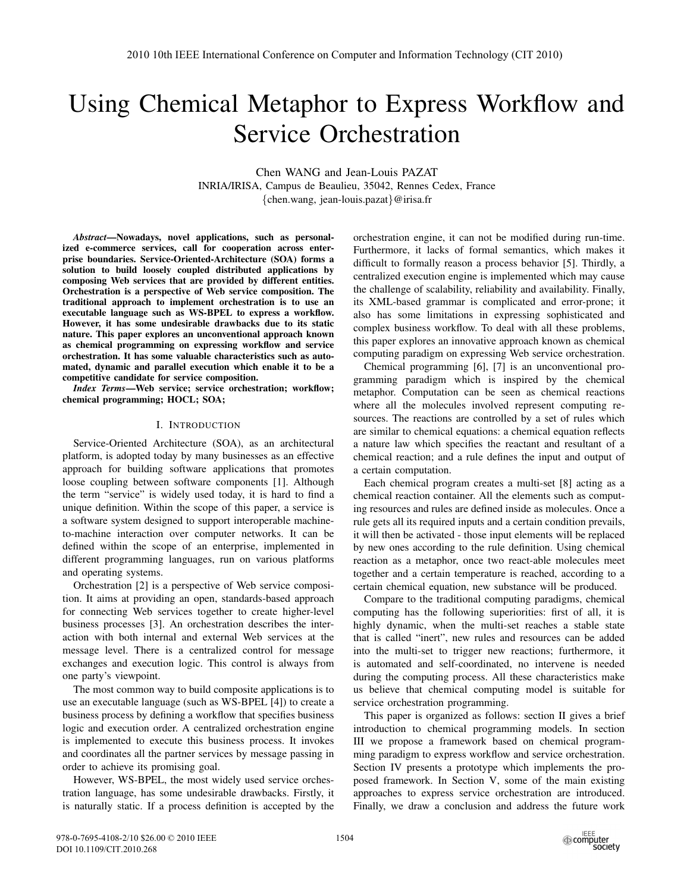# Using Chemical Metaphor to Express Workflow and Service Orchestration

Chen WANG and Jean-Louis PAZAT INRIA/IRISA, Campus de Beaulieu, 35042, Rennes Cedex, France {chen.wang, jean-louis.pazat}@irisa.fr

*Abstract*—Nowadays, novel applications, such as personalized e-commerce services, call for cooperation across enterprise boundaries. Service-Oriented-Architecture (SOA) forms a solution to build loosely coupled distributed applications by composing Web services that are provided by different entities. Orchestration is a perspective of Web service composition. The traditional approach to implement orchestration is to use an executable language such as WS-BPEL to express a workflow. However, it has some undesirable drawbacks due to its static nature. This paper explores an unconventional approach known as chemical programming on expressing workflow and service orchestration. It has some valuable characteristics such as automated, dynamic and parallel execution which enable it to be a competitive candidate for service composition.

*Index Terms*—Web service; service orchestration; workflow; chemical programming; HOCL; SOA;

### I. INTRODUCTION

Service-Oriented Architecture (SOA), as an architectural platform, is adopted today by many businesses as an effective approach for building software applications that promotes loose coupling between software components [1]. Although the term "service" is widely used today, it is hard to find a unique definition. Within the scope of this paper, a service is a software system designed to support interoperable machineto-machine interaction over computer networks. It can be defined within the scope of an enterprise, implemented in different programming languages, run on various platforms and operating systems.

Orchestration [2] is a perspective of Web service composition. It aims at providing an open, standards-based approach for connecting Web services together to create higher-level business processes [3]. An orchestration describes the interaction with both internal and external Web services at the message level. There is a centralized control for message exchanges and execution logic. This control is always from one party's viewpoint.

The most common way to build composite applications is to use an executable language (such as WS-BPEL [4]) to create a business process by defining a workflow that specifies business logic and execution order. A centralized orchestration engine is implemented to execute this business process. It invokes and coordinates all the partner services by message passing in order to achieve its promising goal.

However, WS-BPEL, the most widely used service orchestration language, has some undesirable drawbacks. Firstly, it is naturally static. If a process definition is accepted by the orchestration engine, it can not be modified during run-time. Furthermore, it lacks of formal semantics, which makes it difficult to formally reason a process behavior [5]. Thirdly, a centralized execution engine is implemented which may cause the challenge of scalability, reliability and availability. Finally, its XML-based grammar is complicated and error-prone; it also has some limitations in expressing sophisticated and complex business workflow. To deal with all these problems, this paper explores an innovative approach known as chemical computing paradigm on expressing Web service orchestration.

Chemical programming [6], [7] is an unconventional programming paradigm which is inspired by the chemical metaphor. Computation can be seen as chemical reactions where all the molecules involved represent computing resources. The reactions are controlled by a set of rules which are similar to chemical equations: a chemical equation reflects a nature law which specifies the reactant and resultant of a chemical reaction; and a rule defines the input and output of a certain computation.

Each chemical program creates a multi-set [8] acting as a chemical reaction container. All the elements such as computing resources and rules are defined inside as molecules. Once a rule gets all its required inputs and a certain condition prevails, it will then be activated - those input elements will be replaced by new ones according to the rule definition. Using chemical reaction as a metaphor, once two react-able molecules meet together and a certain temperature is reached, according to a certain chemical equation, new substance will be produced.

Compare to the traditional computing paradigms, chemical computing has the following superiorities: first of all, it is highly dynamic, when the multi-set reaches a stable state that is called "inert", new rules and resources can be added into the multi-set to trigger new reactions; furthermore, it is automated and self-coordinated, no intervene is needed during the computing process. All these characteristics make us believe that chemical computing model is suitable for service orchestration programming.

This paper is organized as follows: section II gives a brief introduction to chemical programming models. In section III we propose a framework based on chemical programming paradigm to express workflow and service orchestration. Section IV presents a prototype which implements the proposed framework. In Section V, some of the main existing approaches to express service orchestration are introduced. Finally, we draw a conclusion and address the future work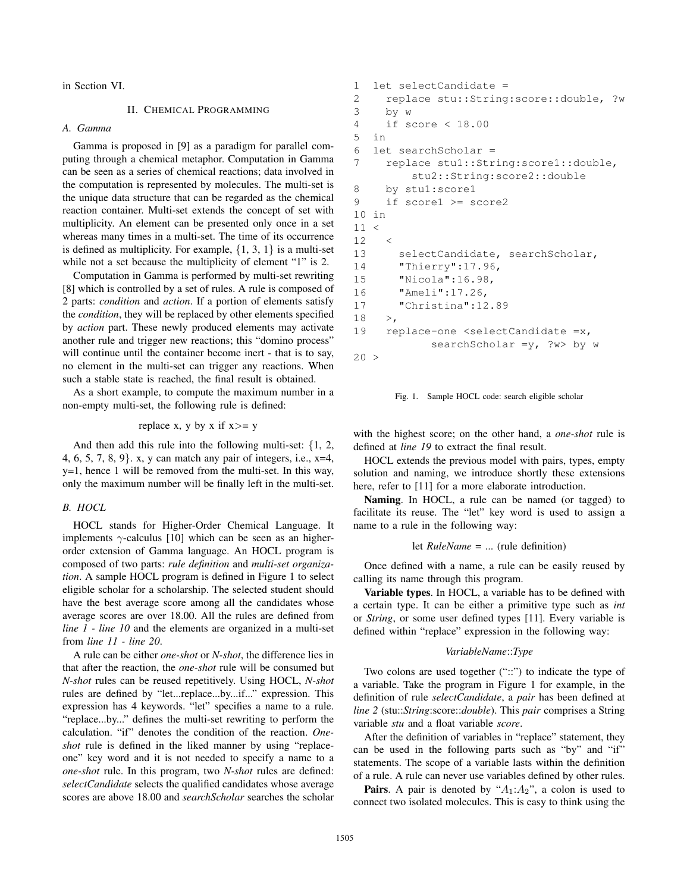in Section VI.

# II. CHEMICAL PROGRAMMING

# *A. Gamma*

Gamma is proposed in [9] as a paradigm for parallel computing through a chemical metaphor. Computation in Gamma can be seen as a series of chemical reactions; data involved in the computation is represented by molecules. The multi-set is the unique data structure that can be regarded as the chemical reaction container. Multi-set extends the concept of set with multiplicity. An element can be presented only once in a set whereas many times in a multi-set. The time of its occurrence is defined as multiplicity. For example,  $\{1, 3, 1\}$  is a multi-set while not a set because the multiplicity of element "1" is 2.

Computation in Gamma is performed by multi-set rewriting [8] which is controlled by a set of rules. A rule is composed of 2 parts: *condition* and *action*. If a portion of elements satisfy the *condition*, they will be replaced by other elements specified by *action* part. These newly produced elements may activate another rule and trigger new reactions; this "domino process" will continue until the container become inert - that is to say, no element in the multi-set can trigger any reactions. When such a stable state is reached, the final result is obtained.

As a short example, to compute the maximum number in a non-empty multi-set, the following rule is defined:

## replace x, y by x if  $x \ge y$

And then add this rule into the following multi-set: {1, 2, 4, 6, 5, 7, 8, 9}. x, y can match any pair of integers, i.e., x=4, y=1, hence 1 will be removed from the multi-set. In this way, only the maximum number will be finally left in the multi-set.

#### *B. HOCL*

HOCL stands for Higher-Order Chemical Language. It implements  $\gamma$ -calculus [10] which can be seen as an higherorder extension of Gamma language. An HOCL program is composed of two parts: *rule definition* and *multi-set organization*. A sample HOCL program is defined in Figure 1 to select eligible scholar for a scholarship. The selected student should have the best average score among all the candidates whose average scores are over 18.00. All the rules are defined from *line 1 - line 10* and the elements are organized in a multi-set from *line 11 - line 20*.

A rule can be either *one-shot* or *N-shot*, the difference lies in that after the reaction, the *one-shot* rule will be consumed but *N-shot* rules can be reused repetitively. Using HOCL, *N-shot* rules are defined by "let...replace...by...if..." expression. This expression has 4 keywords. "let" specifies a name to a rule. "replace...by..." defines the multi-set rewriting to perform the calculation. "if" denotes the condition of the reaction. *Oneshot* rule is defined in the liked manner by using "replaceone" key word and it is not needed to specify a name to a *one-shot* rule. In this program, two *N-shot* rules are defined: *selectCandidate* selects the qualified candidates whose average scores are above 18.00 and *searchScholar* searches the scholar

```
1 let selectCandidate =
2 replace stu::String:score::double, ?w
3 by w
4 if score < 18.00
5 in
6 let searchScholar =
7 replace stul::String:score1::double,
        stu2::String:score2::double
8 by stu1:score1
9 if score1 >= score2
10 in
11 <
12 <13 selectCandidate, searchScholar,
14 "Thierry":17.96,
15 "Nicola":16.98,
16 "Ameli":17.26,
17 "Christina":12.89
18 >,
19 replace-one <selectCandidate =x,
           searchScholar =y, ?w> by w
20 >
```


with the highest score; on the other hand, a *one-shot* rule is defined at *line 19* to extract the final result.

HOCL extends the previous model with pairs, types, empty solution and naming, we introduce shortly these extensions here, refer to [11] for a more elaborate introduction.

Naming. In HOCL, a rule can be named (or tagged) to facilitate its reuse. The "let" key word is used to assign a name to a rule in the following way:

let 
$$
RuleName = \ldots
$$
 (rule definition)

Once defined with a name, a rule can be easily reused by calling its name through this program.

Variable types. In HOCL, a variable has to be defined with a certain type. It can be either a primitive type such as *int* or *String*, or some user defined types [11]. Every variable is defined within "replace" expression in the following way:

## *VariableName*::*Type*

Two colons are used together ("::") to indicate the type of a variable. Take the program in Figure 1 for example, in the definition of rule *selectCandidate*, a *pair* has been defined at *line 2* (stu::*String*:score::*double*). This *pair* comprises a String variable *stu* and a float variable *score*.

After the definition of variables in "replace" statement, they can be used in the following parts such as "by" and "if" statements. The scope of a variable lasts within the definition of a rule. A rule can never use variables defined by other rules.

**Pairs.** A pair is denoted by " $A_1: A_2$ ", a colon is used to connect two isolated molecules. This is easy to think using the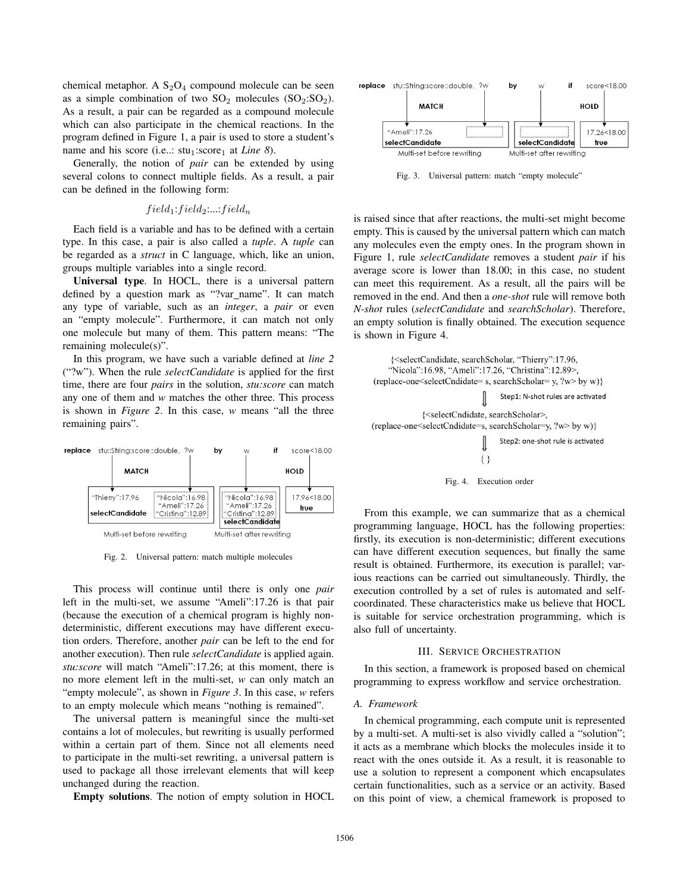chemical metaphor. A  $S_2O_4$  compound molecule can be seen as a simple combination of two  $SO_2$  molecules ( $SO_2:SO_2$ ). As a result, a pair can be regarded as a compound molecule which can also participate in the chemical reactions. In the program defined in Figure 1, a pair is used to store a student's name and his score (i.e..:  $stu_1$ :score<sub>1</sub> at *Line 8*).

Generally, the notion of *pair* can be extended by using several colons to connect multiple fields. As a result, a pair can be defined in the following form:

$$
field_1: field_2: ...; field_n
$$

Each field is a variable and has to be defined with a certain type. In this case, a pair is also called a *tuple*. A *tuple* can be regarded as a *struct* in C language, which, like an union, groups multiple variables into a single record.

Universal type. In HOCL, there is a universal pattern defined by a question mark as "?var name". It can match any type of variable, such as an *integer*, a *pair* or even an "empty molecule". Furthermore, it can match not only one molecule but many of them. This pattern means: "The remaining molecule(s)".

In this program, we have such a variable defined at *line 2* ("?w"). When the rule *selectCandidate* is applied for the first time, there are four *pairs* in the solution, *stu:score* can match any one of them and *w* matches the other three. This process is shown in *Figure 2*. In this case, *w* means "all the three remaining pairs".



Fig. 2. Universal pattern: match multiple molecules

This process will continue until there is only one *pair* left in the multi-set, we assume "Ameli":17.26 is that pair (because the execution of a chemical program is highly nondeterministic, different executions may have different execution orders. Therefore, another *pair* can be left to the end for another execution). Then rule *selectCandidate* is applied again. *stu:score* will match "Ameli":17.26; at this moment, there is no more element left in the multi-set, *w* can only match an "empty molecule", as shown in *Figure 3*. In this case, *w* refers to an empty molecule which means "nothing is remained".

The universal pattern is meaningful since the multi-set contains a lot of molecules, but rewriting is usually performed within a certain part of them. Since not all elements need to participate in the multi-set rewriting, a universal pattern is used to package all those irrelevant elements that will keep unchanged during the reaction.

Empty solutions. The notion of empty solution in HOCL



Fig. 3. Universal pattern: match "empty molecule"

is raised since that after reactions, the multi-set might become empty. This is caused by the universal pattern which can match any molecules even the empty ones. In the program shown in Figure 1, rule *selectCandidate* removes a student *pair* if his average score is lower than 18.00; in this case, no student can meet this requirement. As a result, all the pairs will be removed in the end. And then a *one-shot* rule will remove both *N-shot* rules (*selectCandidate* and *searchScholar*). Therefore, an empty solution is finally obtained. The execution sequence is shown in Figure 4.



From this example, we can summarize that as a chemical programming language, HOCL has the following properties: firstly, its execution is non-deterministic; different executions can have different execution sequences, but finally the same result is obtained. Furthermore, its execution is parallel; various reactions can be carried out simultaneously. Thirdly, the execution controlled by a set of rules is automated and selfcoordinated. These characteristics make us believe that HOCL is suitable for service orchestration programming, which is also full of uncertainty.

## III. SERVICE ORCHESTRATION

In this section, a framework is proposed based on chemical programming to express workflow and service orchestration.

#### *A. Framework*

In chemical programming, each compute unit is represented by a multi-set. A multi-set is also vividly called a "solution"; it acts as a membrane which blocks the molecules inside it to react with the ones outside it. As a result, it is reasonable to use a solution to represent a component which encapsulates certain functionalities, such as a service or an activity. Based on this point of view, a chemical framework is proposed to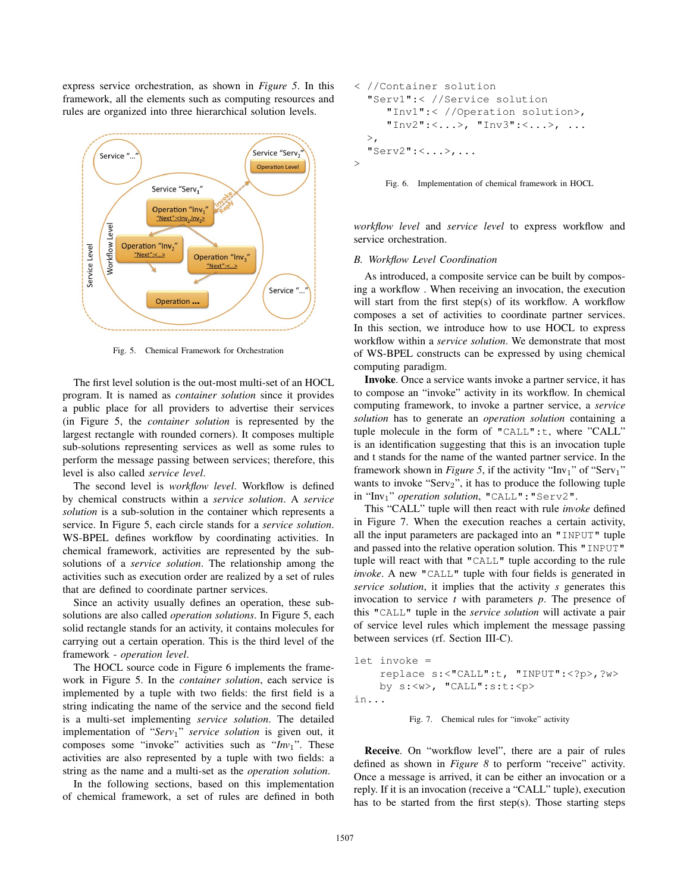express service orchestration, as shown in *Figure 5*. In this framework, all the elements such as computing resources and rules are organized into three hierarchical solution levels.



Fig. 5. Chemical Framework for Orchestration

The first level solution is the out-most multi-set of an HOCL program. It is named as *container solution* since it provides a public place for all providers to advertise their services (in Figure 5, the *container solution* is represented by the largest rectangle with rounded corners). It composes multiple sub-solutions representing services as well as some rules to perform the message passing between services; therefore, this level is also called *service level*.

The second level is *workflow level*. Workflow is defined by chemical constructs within a *service solution*. A *service solution* is a sub-solution in the container which represents a service. In Figure 5, each circle stands for a *service solution*. WS-BPEL defines workflow by coordinating activities. In chemical framework, activities are represented by the subsolutions of a *service solution*. The relationship among the activities such as execution order are realized by a set of rules that are defined to coordinate partner services.

Since an activity usually defines an operation, these subsolutions are also called *operation solutions*. In Figure 5, each solid rectangle stands for an activity, it contains molecules for carrying out a certain operation. This is the third level of the framework - *operation level*.

The HOCL source code in Figure 6 implements the framework in Figure 5. In the *container solution*, each service is implemented by a tuple with two fields: the first field is a string indicating the name of the service and the second field is a multi-set implementing *service solution*. The detailed implementation of "*Serv*1" *service solution* is given out, it composes some "invoke" activities such as "*Inv*1". These activities are also represented by a tuple with two fields: a string as the name and a multi-set as the *operation solution*.

In the following sections, based on this implementation of chemical framework, a set of rules are defined in both

```
< //Container solution
  "Serv1":< //Service solution
     "Inv1":< //Operation solution>,
     "Inv2":<...>, "Inv3":<...>, ...
 >,
  "Serv2": <...>,...
>
```
Fig. 6. Implementation of chemical framework in HOCL

*workflow level* and *service level* to express workflow and service orchestration.

## *B. Workflow Level Coordination*

As introduced, a composite service can be built by composing a workflow . When receiving an invocation, the execution will start from the first step(s) of its workflow. A workflow composes a set of activities to coordinate partner services. In this section, we introduce how to use HOCL to express workflow within a *service solution*. We demonstrate that most of WS-BPEL constructs can be expressed by using chemical computing paradigm.

Invoke. Once a service wants invoke a partner service, it has to compose an "invoke" activity in its workflow. In chemical computing framework, to invoke a partner service, a *service solution* has to generate an *operation solution* containing a tuple molecule in the form of "CALL":t, where "CALL" is an identification suggesting that this is an invocation tuple and t stands for the name of the wanted partner service. In the framework shown in *Figure 5*, if the activity "Inv<sub>1</sub>" of "Serv<sub>1</sub>" wants to invoke "Serv<sub>2</sub>", it has to produce the following tuple in "Inv<sub>1</sub>" *operation solution*, "CALL": "Serv2".

This "CALL" tuple will then react with rule *invoke* defined in Figure 7. When the execution reaches a certain activity, all the input parameters are packaged into an "INPUT" tuple and passed into the relative operation solution. This "INPUT" tuple will react with that "CALL" tuple according to the rule *invoke*. A new "CALL" tuple with four fields is generated in *service solution*, it implies that the activity *s* generates this invocation to service *t* with parameters *p*. The presence of this "CALL" tuple in the *service solution* will activate a pair of service level rules which implement the message passing between services (rf. Section III-C).

```
let invoke =
    replace s:<"CALL":t, "INPUT":<?p>,?w>
    by s:<w>, "CALL":s:t:<p>
in...
```
#### Fig. 7. Chemical rules for "invoke" activity

Receive. On "workflow level", there are a pair of rules defined as shown in *Figure 8* to perform "receive" activity. Once a message is arrived, it can be either an invocation or a reply. If it is an invocation (receive a "CALL" tuple), execution has to be started from the first step(s). Those starting steps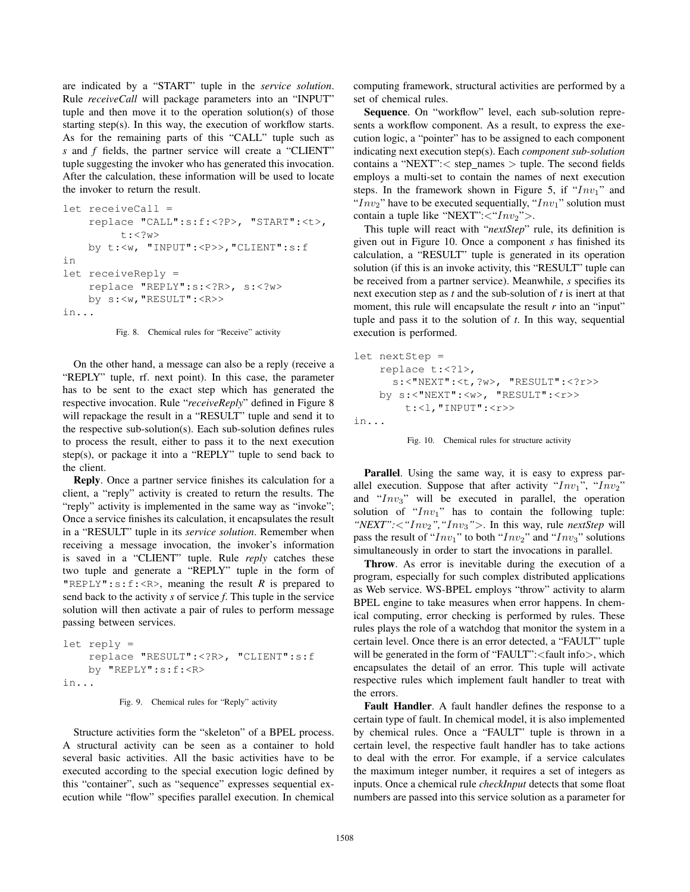are indicated by a "START" tuple in the *service solution*. Rule *receiveCall* will package parameters into an "INPUT" tuple and then move it to the operation solution(s) of those starting step(s). In this way, the execution of workflow starts. As for the remaining parts of this "CALL" tuple such as *s* and *f* fields, the partner service will create a "CLIENT" tuple suggesting the invoker who has generated this invocation. After the calculation, these information will be used to locate the invoker to return the result.

```
let receiveCall =
    replace "CALL":s:f:<?P>, "START":<t>,
         t: <?w>
    by t:<w, "INPUT":<P>>,"CLIENT":s:f
in
let receiveReply =
    replace "REPLY":s:<?R>, s:<?w>
    by s:<w,"RESULT":<R>>
in...
```
Fig. 8. Chemical rules for "Receive" activity

On the other hand, a message can also be a reply (receive a "REPLY" tuple, rf. next point). In this case, the parameter has to be sent to the exact step which has generated the respective invocation. Rule "*receiveReply*" defined in Figure 8 will repackage the result in a "RESULT" tuple and send it to the respective sub-solution(s). Each sub-solution defines rules to process the result, either to pass it to the next execution step(s), or package it into a "REPLY" tuple to send back to the client.

Reply. Once a partner service finishes its calculation for a client, a "reply" activity is created to return the results. The "reply" activity is implemented in the same way as "invoke"; Once a service finishes its calculation, it encapsulates the result in a "RESULT" tuple in its *service solution*. Remember when receiving a message invocation, the invoker's information is saved in a "CLIENT" tuple. Rule *reply* catches these two tuple and generate a "REPLY" tuple in the form of "REPLY":s: $f: <\mathbb{R}$ , meaning the result *R* is prepared to send back to the activity *s* of service *f*. This tuple in the service solution will then activate a pair of rules to perform message passing between services.

```
let reply =
    replace "RESULT":<?R>, "CLIENT":s:f
    by "REPLY":s:f:<R>
in...
```
Fig. 9. Chemical rules for "Reply" activity

Structure activities form the "skeleton" of a BPEL process. A structural activity can be seen as a container to hold several basic activities. All the basic activities have to be executed according to the special execution logic defined by this "container", such as "sequence" expresses sequential execution while "flow" specifies parallel execution. In chemical computing framework, structural activities are performed by a set of chemical rules.

Sequence. On "workflow" level, each sub-solution represents a workflow component. As a result, to express the execution logic, a "pointer" has to be assigned to each component indicating next execution step(s). Each *component sub-solution* contains a "NEXT": $\lt$  step names  $>$  tuple. The second fields employs a multi-set to contain the names of next execution steps. In the framework shown in Figure 5, if " $Inv_1$ " and " $Inv_2$ " have to be executed sequentially, " $Inv_1$ " solution must contain a tuple like "NEXT": $\langle "Inv_2" \rangle$ .

This tuple will react with "*nextStep*" rule, its definition is given out in Figure 10. Once a component *s* has finished its calculation, a "RESULT" tuple is generated in its operation solution (if this is an invoke activity, this "RESULT" tuple can be received from a partner service). Meanwhile, *s* specifies its next execution step as *t* and the sub-solution of *t* is inert at that moment, this rule will encapsulate the result *r* into an "input" tuple and pass it to the solution of *t*. In this way, sequential execution is performed.

```
let nextStep =
   replace t:<?l>,
     s:<"NEXT":<t,?w>, "RESULT":<?r>>
   by s:<"NEXT":<w>, "RESULT":<r>>
        t:<l,"INPUT":<r>>
in...
```


Parallel. Using the same way, it is easy to express parallel execution. Suppose that after activity " $Inv_1$ ", " $Inv_2$ " and " $Inv_3$ " will be executed in parallel, the operation solution of " $Inv_1$ " has to contain the following tuple: *"NEXT":*<*"*Inv2*","*Inv3*"*>. In this way, rule *nextStep* will pass the result of " $Inv_1$ " to both " $Inv_2$ " and " $Inv_3$ " solutions simultaneously in order to start the invocations in parallel.

Throw. As error is inevitable during the execution of a program, especially for such complex distributed applications as Web service. WS-BPEL employs "throw" activity to alarm BPEL engine to take measures when error happens. In chemical computing, error checking is performed by rules. These rules plays the role of a watchdog that monitor the system in a certain level. Once there is an error detected, a "FAULT" tuple will be generated in the form of "FAULT":<fault info>, which encapsulates the detail of an error. This tuple will activate respective rules which implement fault handler to treat with the errors.

Fault Handler. A fault handler defines the response to a certain type of fault. In chemical model, it is also implemented by chemical rules. Once a "FAULT" tuple is thrown in a certain level, the respective fault handler has to take actions to deal with the error. For example, if a service calculates the maximum integer number, it requires a set of integers as inputs. Once a chemical rule *checkInput* detects that some float numbers are passed into this service solution as a parameter for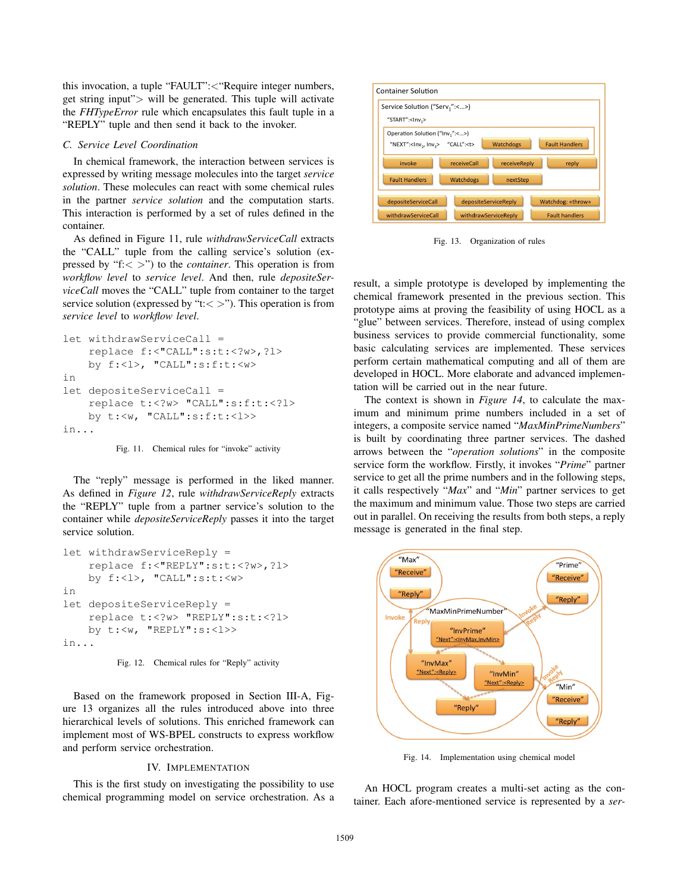this invocation, a tuple "FAULT":<"Require integer numbers, get string input"> will be generated. This tuple will activate the *FHTypeError* rule which encapsulates this fault tuple in a "REPLY" tuple and then send it back to the invoker.

#### *C. Service Level Coordination*

In chemical framework, the interaction between services is expressed by writing message molecules into the target *service solution*. These molecules can react with some chemical rules in the partner *service solution* and the computation starts. This interaction is performed by a set of rules defined in the container.

As defined in Figure 11, rule *withdrawServiceCall* extracts the "CALL" tuple from the calling service's solution (expressed by "f: $\langle \rangle$ ") to the *container*. This operation is from *workflow level* to *service level*. And then, rule *depositeServiceCall* moves the "CALL" tuple from container to the target service solution (expressed by "t: $\langle \rangle$ "). This operation is from *service level* to *workflow level*.

```
let withdrawServiceCall =
    replace f:<"CALL":s:t:<?w>,?l>
    by f:<l>, "CALL":s:f:t:<w>
in
let depositeServiceCall =
    replace t:<?w> "CALL":s:f:t:<?l>
    by t:<w, "CALL":s:f:t:<l>>
in...
```
Fig. 11. Chemical rules for "invoke" activity

The "reply" message is performed in the liked manner. As defined in *Figure 12*, rule *withdrawServiceReply* extracts the "REPLY" tuple from a partner service's solution to the container while *depositeServiceReply* passes it into the target service solution.

```
let withdrawServiceReply =
    replace f:<"REPLY":s:t:<?w>,?l>
    by f:<l>, "CALL":s:t:<w>
in
let depositeServiceReply =
    replace t:<?w> "REPLY":s:t:<?l>
    by t:<w, "REPLY":s:<l>>
in...
```
Fig. 12. Chemical rules for "Reply" activity

Based on the framework proposed in Section III-A, Figure 13 organizes all the rules introduced above into three hierarchical levels of solutions. This enriched framework can implement most of WS-BPEL constructs to express workflow and perform service orchestration.

# IV. IMPLEMENTATION

This is the first study on investigating the possibility to use chemical programming model on service orchestration. As a



Fig. 13. Organization of rules

result, a simple prototype is developed by implementing the chemical framework presented in the previous section. This prototype aims at proving the feasibility of using HOCL as a "glue" between services. Therefore, instead of using complex business services to provide commercial functionality, some basic calculating services are implemented. These services perform certain mathematical computing and all of them are developed in HOCL. More elaborate and advanced implementation will be carried out in the near future.

The context is shown in *Figure 14*, to calculate the maximum and minimum prime numbers included in a set of integers, a composite service named "*MaxMinPrimeNumbers*" is built by coordinating three partner services. The dashed arrows between the "*operation solutions*" in the composite service form the workflow. Firstly, it invokes "*Prime*" partner service to get all the prime numbers and in the following steps, it calls respectively "*Max*" and "*Min*" partner services to get the maximum and minimum value. Those two steps are carried out in parallel. On receiving the results from both steps, a reply message is generated in the final step.



Fig. 14. Implementation using chemical model

An HOCL program creates a multi-set acting as the container. Each afore-mentioned service is represented by a *ser-*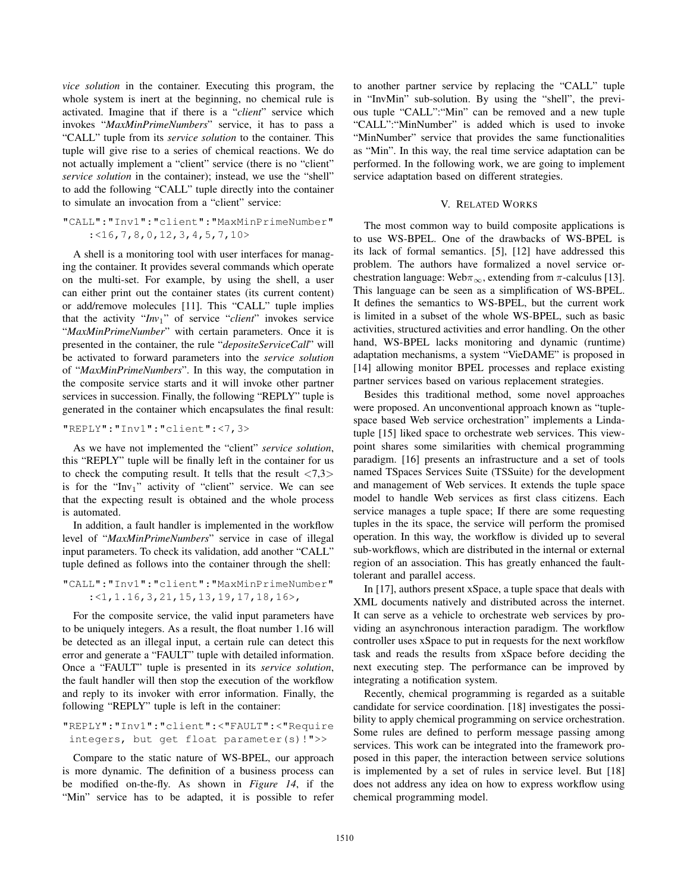*vice solution* in the container. Executing this program, the whole system is inert at the beginning, no chemical rule is activated. Imagine that if there is a "*client*" service which invokes "*MaxMinPrimeNumbers*" service, it has to pass a "CALL" tuple from its *service solution* to the container. This tuple will give rise to a series of chemical reactions. We do not actually implement a "client" service (there is no "client" *service solution* in the container); instead, we use the "shell" to add the following "CALL" tuple directly into the container to simulate an invocation from a "client" service:

# "CALL":"Inv1":"client":"MaxMinPrimeNumber"  $:$  <16, 7, 8, 0, 12, 3, 4, 5, 7, 10>

A shell is a monitoring tool with user interfaces for managing the container. It provides several commands which operate on the multi-set. For example, by using the shell, a user can either print out the container states (its current content) or add/remove molecules [11]. This "CALL" tuple implies that the activity "*Inv*1" of service "*client*" invokes service "*MaxMinPrimeNumber*" with certain parameters. Once it is presented in the container, the rule "*depositeServiceCall*" will be activated to forward parameters into the *service solution* of "*MaxMinPrimeNumbers*". In this way, the computation in the composite service starts and it will invoke other partner services in succession. Finally, the following "REPLY" tuple is generated in the container which encapsulates the final result:

# "REPLY":"Inv1":"client":<7,3>

As we have not implemented the "client" *service solution*, this "REPLY" tuple will be finally left in the container for us to check the computing result. It tells that the result  $\langle 7,3 \rangle$ is for the " $Inv_1$ " activity of "client" service. We can see that the expecting result is obtained and the whole process is automated.

In addition, a fault handler is implemented in the workflow level of "*MaxMinPrimeNumbers*" service in case of illegal input parameters. To check its validation, add another "CALL" tuple defined as follows into the container through the shell:

```
"CALL":"Inv1":"client":"MaxMinPrimeNumber"
    :<1,1.16,3,21,15,13,19,17,18,16>,
```
For the composite service, the valid input parameters have to be uniquely integers. As a result, the float number 1.16 will be detected as an illegal input, a certain rule can detect this error and generate a "FAULT" tuple with detailed information. Once a "FAULT" tuple is presented in its *service solution*, the fault handler will then stop the execution of the workflow and reply to its invoker with error information. Finally, the following "REPLY" tuple is left in the container:

# "REPLY":"Inv1":"client":<"FAULT":<"Require integers, but get float parameter(s)!">>

Compare to the static nature of WS-BPEL, our approach is more dynamic. The definition of a business process can be modified on-the-fly. As shown in *Figure 14*, if the "Min" service has to be adapted, it is possible to refer

to another partner service by replacing the "CALL" tuple in "InvMin" sub-solution. By using the "shell", the previous tuple "CALL":"Min" can be removed and a new tuple "CALL":"MinNumber" is added which is used to invoke "MinNumber" service that provides the same functionalities as "Min". In this way, the real time service adaptation can be performed. In the following work, we are going to implement service adaptation based on different strategies.

## V. RELATED WORKS

The most common way to build composite applications is to use WS-BPEL. One of the drawbacks of WS-BPEL is its lack of formal semantics. [5], [12] have addressed this problem. The authors have formalized a novel service orchestration language: Web $\pi_{\infty}$ , extending from  $\pi$ -calculus [13]. This language can be seen as a simplification of WS-BPEL. It defines the semantics to WS-BPEL, but the current work is limited in a subset of the whole WS-BPEL, such as basic activities, structured activities and error handling. On the other hand, WS-BPEL lacks monitoring and dynamic (runtime) adaptation mechanisms, a system "VieDAME" is proposed in [14] allowing monitor BPEL processes and replace existing partner services based on various replacement strategies.

Besides this traditional method, some novel approaches were proposed. An unconventional approach known as "tuplespace based Web service orchestration" implements a Lindatuple [15] liked space to orchestrate web services. This viewpoint shares some similarities with chemical programming paradigm. [16] presents an infrastructure and a set of tools named TSpaces Services Suite (TSSuite) for the development and management of Web services. It extends the tuple space model to handle Web services as first class citizens. Each service manages a tuple space; If there are some requesting tuples in the its space, the service will perform the promised operation. In this way, the workflow is divided up to several sub-workflows, which are distributed in the internal or external region of an association. This has greatly enhanced the faulttolerant and parallel access.

In [17], authors present xSpace, a tuple space that deals with XML documents natively and distributed across the internet. It can serve as a vehicle to orchestrate web services by providing an asynchronous interaction paradigm. The workflow controller uses xSpace to put in requests for the next workflow task and reads the results from xSpace before deciding the next executing step. The performance can be improved by integrating a notification system.

Recently, chemical programming is regarded as a suitable candidate for service coordination. [18] investigates the possibility to apply chemical programming on service orchestration. Some rules are defined to perform message passing among services. This work can be integrated into the framework proposed in this paper, the interaction between service solutions is implemented by a set of rules in service level. But [18] does not address any idea on how to express workflow using chemical programming model.